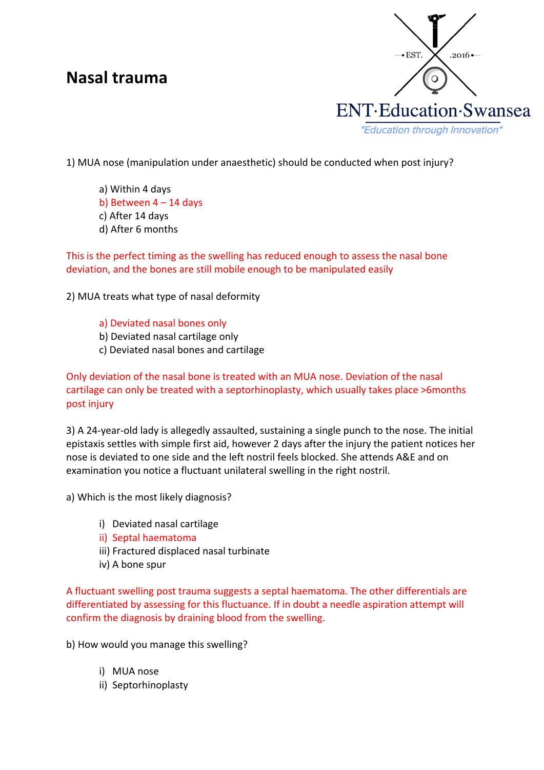## **Nasal trauma**



1) MUA nose (manipulation under anaesthetic) should be conducted when post injury?

- a) Within 4 days
- b) Between  $4 14$  days
- c) After 14 days
- d) After 6 months

This is the perfect timing as the swelling has reduced enough to assess the nasal bone deviation, and the bones are still mobile enough to be manipulated easily

2) MUA treats what type of nasal deformity

a) Deviated nasal bones only

- b) Deviated nasal cartilage only
- c) Deviated nasal bones and cartilage

Only deviation of the nasal bone is treated with an MUA nose. Deviation of the nasal cartilage can only be treated with a septorhinoplasty, which usually takes place >6months post injury

3) A 24-year-old lady is allegedly assaulted, sustaining a single punch to the nose. The initial epistaxis settles with simple first aid, however 2 days after the injury the patient notices her nose is deviated to one side and the left nostril feels blocked. She attends A&E and on examination you notice a fluctuant unilateral swelling in the right nostril.

a) Which is the most likely diagnosis?

- i) Deviated nasal cartilage
- ii) Septal haematoma
- iii) Fractured displaced nasal turbinate
- iv) A bone spur

A fluctuant swelling post trauma suggests a septal haematoma. The other differentials are differentiated by assessing for this fluctuance. If in doubt a needle aspiration attempt will confirm the diagnosis by draining blood from the swelling.

b) How would you manage this swelling?

- i) MUA nose
- ii) Septorhinoplasty